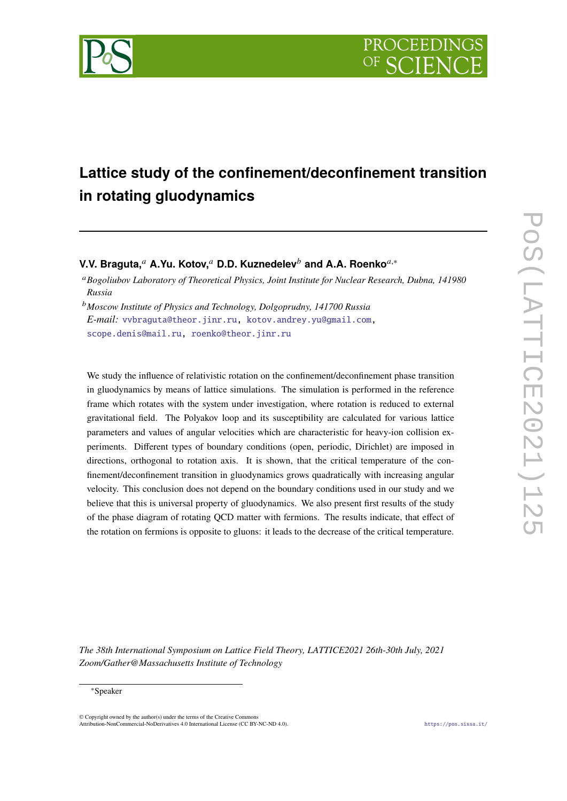

# **Lattice study of the confinement/deconfinement transition in rotating gluodynamics**

**V.V. Braguta,**<sup>𝑎</sup> **A.Yu. Kotov,**<sup>𝑎</sup> **D.D. Kuznedelev**<sup>𝑏</sup> **and A.A. Roenko**𝑎,<sup>∗</sup>

<sup>𝑎</sup>*Bogoliubov Laboratory of Theoretical Physics, Joint Institute for Nuclear Research, Dubna, 141980 Russia*

<sup>𝑏</sup>*Moscow Institute of Physics and Technology, Dolgoprudny, 141700 Russia E-mail:* [vvbraguta@theor.jinr.ru,](mailto:vvbraguta@theor.jinr.ru) [kotov.andrey.yu@gmail.com,](mailto:kotov.andrey.yu@gmail.com) [scope.denis@mail.ru,](mailto:scope.denis@mail.ru) [roenko@theor.jinr.ru](mailto:roenko@theor.jinr.ru)

We study the influence of relativistic rotation on the confinement/deconfinement phase transition in gluodynamics by means of lattice simulations. The simulation is performed in the reference frame which rotates with the system under investigation, where rotation is reduced to external gravitational field. The Polyakov loop and its susceptibility are calculated for various lattice parameters and values of angular velocities which are characteristic for heavy-ion collision experiments. Different types of boundary conditions (open, periodic, Dirichlet) are imposed in directions, orthogonal to rotation axis. It is shown, that the critical temperature of the confinement/deconfinement transition in gluodynamics grows quadratically with increasing angular velocity. This conclusion does not depend on the boundary conditions used in our study and we believe that this is universal property of gluodynamics. We also present first results of the study of the phase diagram of rotating QCD matter with fermions. The results indicate, that effect of the rotation on fermions is opposite to gluons: it leads to the decrease of the critical temperature.

*The 38th International Symposium on Lattice Field Theory, LATTICE2021 26th-30th July, 2021 Zoom/Gather@Massachusetts Institute of Technology*

#### ∗Speaker

 $\odot$  Copyright owned by the author(s) under the terms of the Creative Common Attribution-NonCommercial-NoDerivatives 4.0 International License (CC BY-NC-ND 4.0). <https://pos.sissa.it/>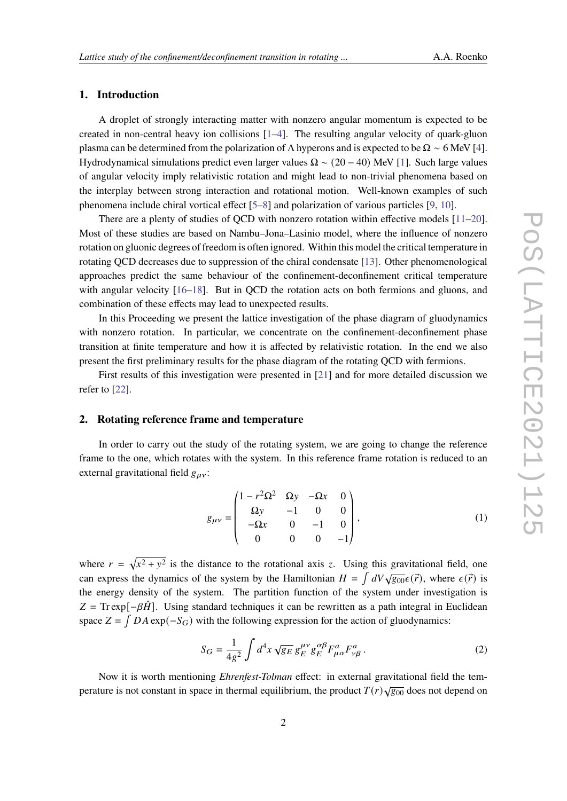# **1. Introduction**

A droplet of strongly interacting matter with nonzero angular momentum is expected to be created in non-central heavy ion collisions [\[1](#page-6-0)[–4\]](#page-7-0). The resulting angular velocity of quark-gluon plasma can be determined from the polarization of  $\Lambda$  hyperons and is expected to be  $\Omega \sim 6$  MeV [\[4\]](#page-7-0). Hydrodynamical simulations predict even larger values  $\Omega \sim (20 - 40)$  MeV [\[1\]](#page-6-0). Such large values of angular velocity imply relativistic rotation and might lead to non-trivial phenomena based on the interplay between strong interaction and rotational motion. Well-known examples of such phenomena include chiral vortical effect [\[5](#page-7-1)[–8\]](#page-7-2) and polarization of various particles [\[9,](#page-7-3) [10\]](#page-7-4).

There are a plenty of studies of QCD with nonzero rotation within effective models [\[11–](#page-7-5)[20\]](#page-8-0). Most of these studies are based on Nambu–Jona–Lasinio model, where the influence of nonzero rotation on gluonic degrees of freedom is often ignored. Within this model the critical temperature in rotating QCD decreases due to suppression of the chiral condensate [\[13\]](#page-7-6). Other phenomenological approaches predict the same behaviour of the confinement-deconfinement critical temperature with angular velocity  $[16–18]$  $[16–18]$ . But in QCD the rotation acts on both fermions and gluons, and combination of these effects may lead to unexpected results.

In this Proceeding we present the lattice investigation of the phase diagram of gluodynamics with nonzero rotation. In particular, we concentrate on the confinement-deconfinement phase transition at finite temperature and how it is affected by relativistic rotation. In the end we also present the first preliminary results for the phase diagram of the rotating QCD with fermions.

First results of this investigation were presented in [\[21\]](#page-8-1) and for more detailed discussion we refer to [\[22\]](#page-8-2).

#### **2. Rotating reference frame and temperature**

In order to carry out the study of the rotating system, we are going to change the reference frame to the one, which rotates with the system. In this reference frame rotation is reduced to an external gravitational field  $g_{\mu\nu}$ :

<span id="page-1-0"></span>
$$
g_{\mu\nu} = \begin{pmatrix} 1 - r^2 \Omega^2 & \Omega y & -\Omega x & 0 \\ \Omega y & -1 & 0 & 0 \\ -\Omega x & 0 & -1 & 0 \\ 0 & 0 & 0 & -1 \end{pmatrix},
$$
(1)

where  $r = \sqrt{x^2 + y^2}$  is the distance to the rotational axis z. Using this gravitational field, one can express the dynamics of the system by the Hamiltonian  $H = \int dV \sqrt{g_{00}} \epsilon(\vec{r})$ , where  $\epsilon(\vec{r})$  is the energy density of the system. The partition function of the system under investigation is  $Z = Tr \exp[-\beta \hat{H}]$ . Using standard techniques it can be rewritten as a path integral in Euclidean space  $Z = \int DA \exp(-S_G)$  with the following expression for the action of gluodynamics:

<span id="page-1-1"></span>
$$
S_G = \frac{1}{4g^2} \int d^4x \sqrt{g_E} g_E^{\mu\nu} g_E^{\alpha\beta} F_{\mu\alpha}^a F_{\nu\beta}^a.
$$
 (2)

Now it is worth mentioning *Ehrenfest-Tolman* effect: in external gravitational field the temperature is not constant in space in thermal equilibrium, the product  $T(r)\sqrt{g_{00}}$  does not depend on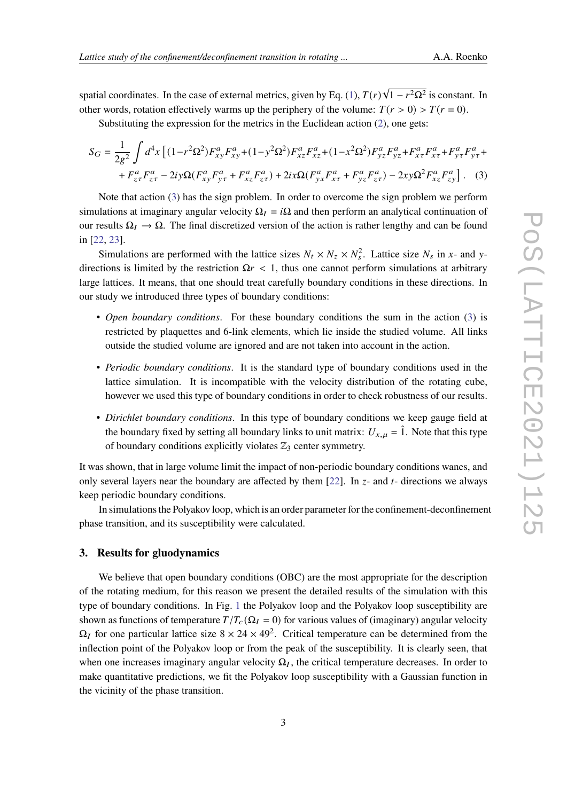spatial coordinates. In the case of external metrics, given by Eq. [\(1\)](#page-1-0),  $T(r)\sqrt{1-r^2\Omega^2}$  is constant. In other words, rotation effectively warms up the periphery of the volume:  $T(r > 0) > T(r = 0)$ .

<span id="page-2-0"></span>Substituting the expression for the metrics in the Euclidean action [\(2\)](#page-1-1), one gets:

$$
S_G = \frac{1}{2g^2} \int d^4x \left[ (1 - r^2 \Omega^2) F_{xy}^a F_{xy}^a + (1 - y^2 \Omega^2) F_{xz}^a F_{xz}^a + (1 - x^2 \Omega^2) F_{yz}^a F_{yz}^a + F_{x\tau}^a F_{x\tau}^a + F_{y\tau}^a F_{y\tau}^a + F_{z\tau}^a F_{z\tau}^a - 2iy \Omega (F_{xy}^a F_{y\tau}^a + F_{xz}^a F_{z\tau}^a) + 2ix \Omega (F_{yx}^a F_{x\tau}^a + F_{yz}^a F_{z\tau}^a) - 2xy \Omega^2 F_{xz}^a F_{zy}^a \right].
$$
 (3)

Note that action [\(3\)](#page-2-0) has the sign problem. In order to overcome the sign problem we perform simulations at imaginary angular velocity  $\Omega_I = i\Omega$  and then perform an analytical continuation of our results  $\Omega_I \to \Omega$ . The final discretized version of the action is rather lengthy and can be found in [\[22,](#page-8-2) [23\]](#page-8-3).

Simulations are performed with the lattice sizes  $N_t \times N_z \times N_s^2$ . Lattice size  $N_s$  in x- and ydirections is limited by the restriction  $\Omega r < 1$ , thus one cannot perform simulations at arbitrary large lattices. It means, that one should treat carefully boundary conditions in these directions. In our study we introduced three types of boundary conditions:

- *Open boundary conditions*. For these boundary conditions the sum in the action [\(3\)](#page-2-0) is restricted by plaquettes and 6-link elements, which lie inside the studied volume. All links outside the studied volume are ignored and are not taken into account in the action.
- *Periodic boundary conditions*. It is the standard type of boundary conditions used in the lattice simulation. It is incompatible with the velocity distribution of the rotating cube, however we used this type of boundary conditions in order to check robustness of our results.
- *Dirichlet boundary conditions*. In this type of boundary conditions we keep gauge field at the boundary fixed by setting all boundary links to unit matrix:  $U_{x,\mu} = \hat{1}$ . Note that this type of boundary conditions explicitly violates  $\mathbb{Z}_3$  center symmetry.

It was shown, that in large volume limit the impact of non-periodic boundary conditions wanes, and only several layers near the boundary are affected by them [\[22\]](#page-8-2). In  $z$ - and  $t$ - directions we always keep periodic boundary conditions.

In simulations the Polyakov loop, which is an order parameter for the confinement-deconfinement phase transition, and its susceptibility were calculated.

### **3. Results for gluodynamics**

We believe that open boundary conditions (OBC) are the most appropriate for the description of the rotating medium, for this reason we present the detailed results of the simulation with this type of boundary conditions. In Fig. [1](#page-3-0) the Polyakov loop and the Polyakov loop susceptibility are shown as functions of temperature  $T/T_c(\Omega_I = 0)$  for various values of (imaginary) angular velocity  $\Omega_I$  for one particular lattice size  $8 \times 24 \times 49^2$ . Critical temperature can be determined from the inflection point of the Polyakov loop or from the peak of the susceptibility. It is clearly seen, that when one increases imaginary angular velocity  $\Omega_I$ , the critical temperature decreases. In order to make quantitative predictions, we fit the Polyakov loop susceptibility with a Gaussian function in the vicinity of the phase transition.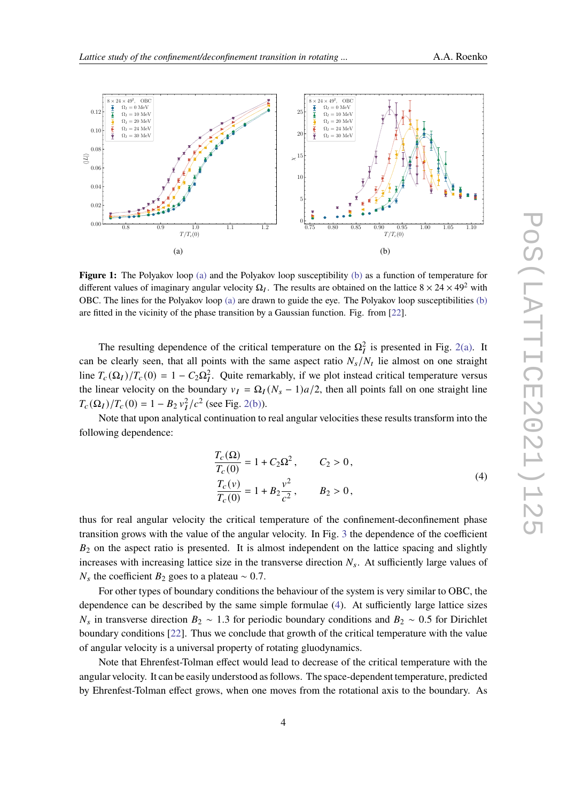<span id="page-3-1"></span><span id="page-3-0"></span>

<span id="page-3-2"></span>Figure 1: The Polyakov loop [\(a\)](#page-3-1) and the Polyakov loop susceptibility [\(b\)](#page-3-2) as a function of temperature for different values of imaginary angular velocity  $\Omega_I$ . The results are obtained on the lattice  $8 \times 24 \times 49^2$  with OBC. The lines for the Polyakov loop [\(a\)](#page-3-1) are drawn to guide the eye. The Polyakov loop susceptibilities [\(b\)](#page-3-2) are fitted in the vicinity of the phase transition by a Gaussian function. Fig. from [\[22\]](#page-8-2).

The resulting dependence of the critical temperature on the  $\Omega_I^2$  is presented in Fig. [2\(a\).](#page-4-0) It can be clearly seen, that all points with the same aspect ratio  $N_s/N_t$  lie almost on one straight line  $T_c(\Omega_I)/T_c(0) = 1 - C_2 \Omega_I^2$ . Quite remarkably, if we plot instead critical temperature versus the linear velocity on the boundary  $v_I = \Omega_I (N_s - 1)a/2$ , then all points fall on one straight line  $T_c(\Omega_I)/T_c(0) = 1 - B_2 v_I^2/c^2$  (see Fig. [2\(b\)\)](#page-4-1).

Note that upon analytical continuation to real angular velocities these results transform into the following dependence:

$$
\frac{T_c(\Omega)}{T_c(0)} = 1 + C_2 \Omega^2, \qquad C_2 > 0,
$$
  
\n
$$
\frac{T_c(v)}{T_c(0)} = 1 + B_2 \frac{v^2}{c^2}, \qquad B_2 > 0,
$$
\n(4)

<span id="page-3-3"></span>thus for real angular velocity the critical temperature of the confinement-deconfinement phase transition grows with the value of the angular velocity. In Fig. [3](#page-4-2) the dependence of the coefficient  $B<sub>2</sub>$  on the aspect ratio is presented. It is almost independent on the lattice spacing and slightly increases with increasing lattice size in the transverse direction  $N_s$ . At sufficiently large values of  $N_s$  the coefficient  $B_2$  goes to a plateau ~ 0.7.

For other types of boundary conditions the behaviour of the system is very similar to OBC, the dependence can be described by the same simple formulae [\(4\)](#page-3-3). At sufficiently large lattice sizes  $N_s$  in transverse direction  $B_2 \sim 1.3$  for periodic boundary conditions and  $B_2 \sim 0.5$  for Dirichlet boundary conditions [\[22\]](#page-8-2). Thus we conclude that growth of the critical temperature with the value of angular velocity is a universal property of rotating gluodynamics.

Note that Ehrenfest-Tolman effect would lead to decrease of the critical temperature with the angular velocity. It can be easily understood as follows. The space-dependent temperature, predicted by Ehrenfest-Tolman effect grows, when one moves from the rotational axis to the boundary. As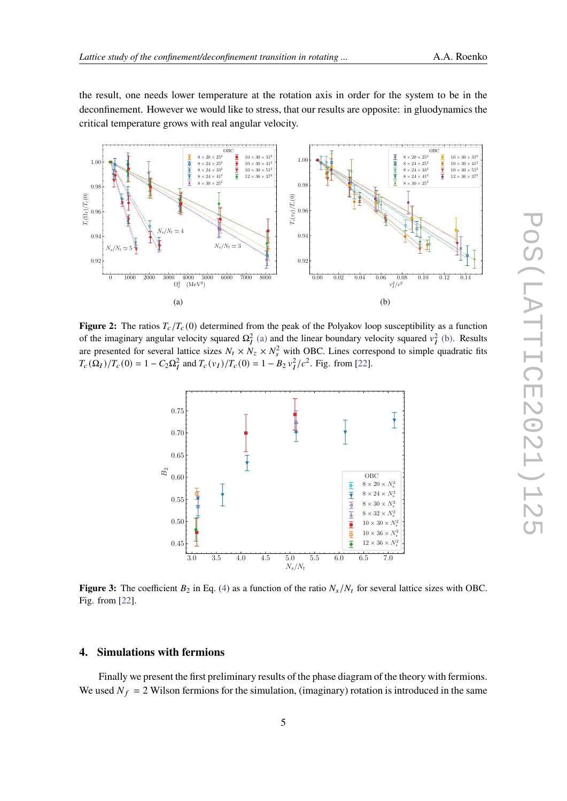the result, one needs lower temperature at the rotation axis in order for the system to be in the deconfinement. However we would like to stress, that our results are opposite: in gluodynamics the critical temperature grows with real angular velocity.

<span id="page-4-0"></span>

<span id="page-4-2"></span>**Figure 2:** The ratios  $T_c/T_c(0)$  determined from the peak of the Polyakov loop susceptibility as a function of the imaginary angular velocity squared  $\Omega_I^2$  [\(a\)](#page-4-0) and the linear boundary velocity squared  $v_I^2$  [\(b\).](#page-4-1) Results are presented for several lattice sizes  $N_t \times N_z \times N_s^2$  with OBC. Lines correspond to simple quadratic fits  $T_c(\Omega_I)/T_c(0) = 1 - C_2 \Omega_I^2$  and  $T_c(v_I)/T_c(0) = 1 - B_2 v_I^2/c^2$ . Fig. from [\[22\]](#page-8-2).

<span id="page-4-1"></span>

**Figure 3:** The coefficient  $B_2$  in Eq. [\(4\)](#page-3-3) as a function of the ratio  $N_s/N_t$  for several lattice sizes with OBC. Fig. from [\[22\]](#page-8-2).

#### **4. Simulations with fermions**

Finally we present the first preliminary results of the phase diagram of the theory with fermions. We used  $N_f = 2$  Wilson fermions for the simulation, (imaginary) rotation is introduced in the same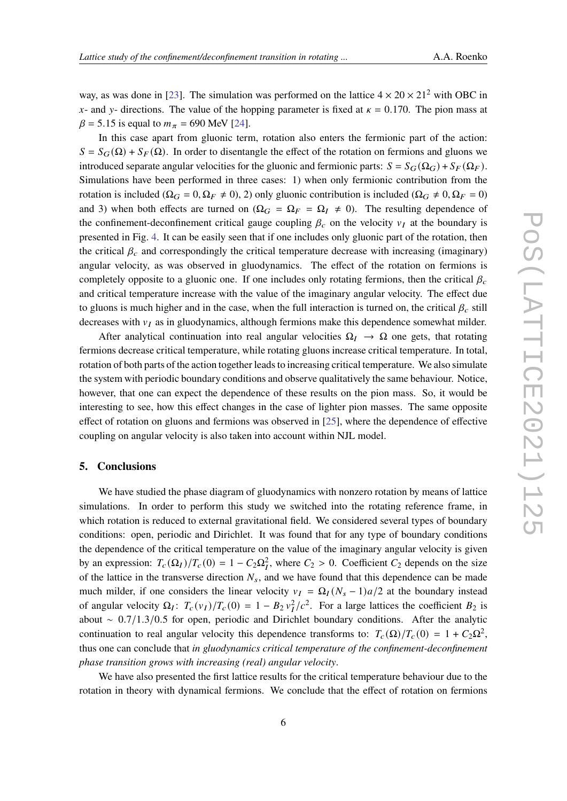way, as was done in [\[23\]](#page-8-3). The simulation was performed on the lattice  $4 \times 20 \times 21^2$  with OBC in x- and y- directions. The value of the hopping parameter is fixed at  $\kappa = 0.170$ . The pion mass at  $\beta = 5.15$  is equal to  $m_{\pi} = 690$  MeV [\[24\]](#page-8-4).

In this case apart from gluonic term, rotation also enters the fermionic part of the action:  $S = S_G(\Omega) + S_F(\Omega)$ . In order to disentangle the effect of the rotation on fermions and gluons we introduced separate angular velocities for the gluonic and fermionic parts:  $S = S_G(\Omega_G) + S_F(\Omega_F)$ . Simulations have been performed in three cases: 1) when only fermionic contribution from the rotation is included ( $\Omega_G = 0$ ,  $\Omega_F \neq 0$ ), 2) only gluonic contribution is included ( $\Omega_G \neq 0$ ,  $\Omega_F = 0$ ) and 3) when both effects are turned on  $(Q_G = Q_F = Q_I \neq 0)$ . The resulting dependence of the confinement-deconfinement critical gauge coupling  $\beta_c$  on the velocity  $v_I$  at the boundary is presented in Fig. [4.](#page-6-1) It can be easily seen that if one includes only gluonic part of the rotation, then the critical  $\beta_c$  and correspondingly the critical temperature decrease with increasing (imaginary) angular velocity, as was observed in gluodynamics. The effect of the rotation on fermions is completely opposite to a gluonic one. If one includes only rotating fermions, then the critical  $\beta_c$ and critical temperature increase with the value of the imaginary angular velocity. The effect due to gluons is much higher and in the case, when the full interaction is turned on, the critical  $\beta_c$  still decreases with  $v_I$  as in gluodynamics, although fermions make this dependence somewhat milder.

After analytical continuation into real angular velocities  $\Omega_I \to \Omega$  one gets, that rotating fermions decrease critical temperature, while rotating gluons increase critical temperature. In total, rotation of both parts of the action together leads to increasing critical temperature. We also simulate the system with periodic boundary conditions and observe qualitatively the same behaviour. Notice, however, that one can expect the dependence of these results on the pion mass. So, it would be interesting to see, how this effect changes in the case of lighter pion masses. The same opposite effect of rotation on gluons and fermions was observed in [\[25\]](#page-8-5), where the dependence of effective coupling on angular velocity is also taken into account within NJL model.

### **5. Conclusions**

We have studied the phase diagram of gluodynamics with nonzero rotation by means of lattice simulations. In order to perform this study we switched into the rotating reference frame, in which rotation is reduced to external gravitational field. We considered several types of boundary conditions: open, periodic and Dirichlet. It was found that for any type of boundary conditions the dependence of the critical temperature on the value of the imaginary angular velocity is given by an expression:  $T_c(\Omega_I)/T_c(0) = 1 - C_2 \Omega_I^2$ , where  $C_2 > 0$ . Coefficient  $C_2$  depends on the size of the lattice in the transverse direction  $N_s$ , and we have found that this dependence can be made much milder, if one considers the linear velocity  $v_I = \Omega_I (N_s - 1)a/2$  at the boundary instead of angular velocity  $\Omega_I$ :  $T_c(v_I)/T_c(0) = 1 - B_2 v_I^2/c^2$ . For a large lattices the coefficient  $B_2$  is about ∼ 0.7/1.3/0.5 for open, periodic and Dirichlet boundary conditions. After the analytic continuation to real angular velocity this dependence transforms to:  $T_c(\Omega)/T_c(0) = 1 + C_2\Omega^2$ , thus one can conclude that *in gluodynamics critical temperature of the confinement-deconfinement phase transition grows with increasing (real) angular velocity*.

We have also presented the first lattice results for the critical temperature behaviour due to the rotation in theory with dynamical fermions. We conclude that the effect of rotation on fermions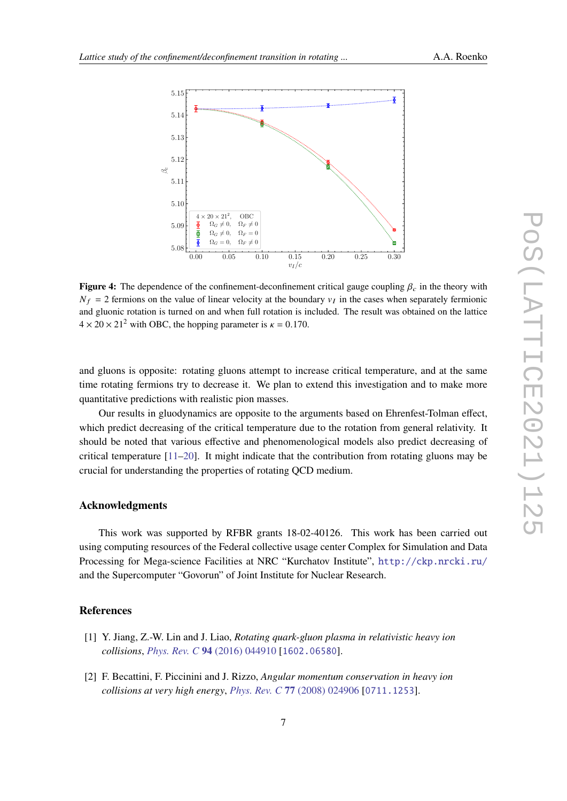<span id="page-6-1"></span>

**Figure 4:** The dependence of the confinement-deconfinement critical gauge coupling  $\beta_c$  in the theory with  $N_f = 2$  fermions on the value of linear velocity at the boundary  $v_I$  in the cases when separately fermionic and gluonic rotation is turned on and when full rotation is included. The result was obtained on the lattice  $4 \times 20 \times 21^2$  with OBC, the hopping parameter is  $\kappa = 0.170$ .

and gluons is opposite: rotating gluons attempt to increase critical temperature, and at the same time rotating fermions try to decrease it. We plan to extend this investigation and to make more quantitative predictions with realistic pion masses.

Our results in gluodynamics are opposite to the arguments based on Ehrenfest-Tolman effect, which predict decreasing of the critical temperature due to the rotation from general relativity. It should be noted that various effective and phenomenological models also predict decreasing of critical temperature  $[11-20]$  $[11-20]$ . It might indicate that the contribution from rotating gluons may be crucial for understanding the properties of rotating QCD medium.

# **Acknowledgments**

This work was supported by RFBR grants 18-02-40126. This work has been carried out using computing resources of the Federal collective usage center Complex for Simulation and Data Processing for Mega-science Facilities at NRC "Kurchatov Institute", <http://ckp.nrcki.ru/> and the Supercomputer "Govorun" of Joint Institute for Nuclear Research.

## **References**

- <span id="page-6-0"></span>[1] Y. Jiang, Z.-W. Lin and J. Liao, *Rotating quark-gluon plasma in relativistic heavy ion collisions*, *[Phys. Rev. C](https://doi.org/10.1103/PhysRevC.94.044910)* **94** (2016) 044910 [[1602.06580](https://arxiv.org/abs/1602.06580)].
- [2] F. Becattini, F. Piccinini and J. Rizzo, *Angular momentum conservation in heavy ion collisions at very high energy*, *[Phys. Rev. C](https://doi.org/10.1103/PhysRevC.77.024906)* **77** (2008) 024906 [[0711.1253](https://arxiv.org/abs/0711.1253)].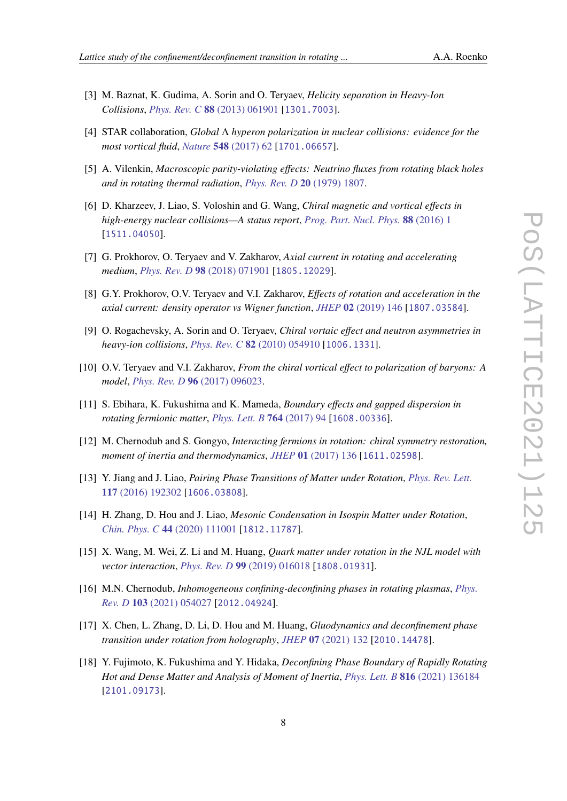- [3] M. Baznat, K. Gudima, A. Sorin and O. Teryaev, *Helicity separation in Heavy-Ion Collisions*, *[Phys. Rev. C](https://doi.org/10.1103/PhysRevC.88.061901)* **88** (2013) 061901 [[1301.7003](https://arxiv.org/abs/1301.7003)].
- <span id="page-7-0"></span>[4] STAR collaboration, *Global* Λ *hyperon polarization in nuclear collisions: evidence for the most vortical fluid*, *Nature* **548** [\(2017\) 62](https://doi.org/10.1038/nature23004) [[1701.06657](https://arxiv.org/abs/1701.06657)].
- <span id="page-7-1"></span>[5] A. Vilenkin, *Macroscopic parity-violating effects: Neutrino fluxes from rotating black holes and in rotating thermal radiation*, *[Phys. Rev. D](https://doi.org/10.1103/PhysRevD.20.1807)* **20** (1979) 1807.
- [6] D. Kharzeev, J. Liao, S. Voloshin and G. Wang, *Chiral magnetic and vortical effects in high-energy nuclear collisions—A status report*, *[Prog. Part. Nucl. Phys.](https://doi.org/10.1016/j.ppnp.2016.01.001)* **88** (2016) 1 [[1511.04050](https://arxiv.org/abs/1511.04050)].
- [7] G. Prokhorov, O. Teryaev and V. Zakharov, *Axial current in rotating and accelerating medium*, *[Phys. Rev. D](https://doi.org/10.1103/PhysRevD.98.071901)* **98** (2018) 071901 [[1805.12029](https://arxiv.org/abs/1805.12029)].
- <span id="page-7-2"></span>[8] G.Y. Prokhorov, O.V. Teryaev and V.I. Zakharov, *Effects of rotation and acceleration in the axial current: density operator vs Wigner function*, *JHEP* **02** [\(2019\) 146](https://doi.org/10.1007/JHEP02(2019)146) [[1807.03584](https://arxiv.org/abs/1807.03584)].
- <span id="page-7-3"></span>[9] O. Rogachevsky, A. Sorin and O. Teryaev, *Chiral vortaic effect and neutron asymmetries in heavy-ion collisions*, *[Phys. Rev. C](https://doi.org/10.1103/PhysRevC.82.054910)* **82** (2010) 054910 [[1006.1331](https://arxiv.org/abs/1006.1331)].
- <span id="page-7-4"></span>[10] O.V. Teryaev and V.I. Zakharov, *From the chiral vortical effect to polarization of baryons: A model*, *[Phys. Rev. D](https://doi.org/10.1103/PhysRevD.96.096023)* **96** (2017) 096023.
- <span id="page-7-5"></span>[11] S. Ebihara, K. Fukushima and K. Mameda, *Boundary effects and gapped dispersion in rotating fermionic matter*, *[Phys. Lett. B](https://doi.org/10.1016/j.physletb.2016.11.010)* **764** (2017) 94 [[1608.00336](https://arxiv.org/abs/1608.00336)].
- [12] M. Chernodub and S. Gongyo, *Interacting fermions in rotation: chiral symmetry restoration, moment of inertia and thermodynamics*, *JHEP* **01** [\(2017\) 136](https://doi.org/10.1007/JHEP01(2017)136) [[1611.02598](https://arxiv.org/abs/1611.02598)].
- <span id="page-7-6"></span>[13] Y. Jiang and J. Liao, *Pairing Phase Transitions of Matter under Rotation*, *[Phys. Rev. Lett.](https://doi.org/10.1103/PhysRevLett.117.192302)* **117** [\(2016\) 192302](https://doi.org/10.1103/PhysRevLett.117.192302) [[1606.03808](https://arxiv.org/abs/1606.03808)].
- [14] H. Zhang, D. Hou and J. Liao, *Mesonic Condensation in Isospin Matter under Rotation*, *[Chin. Phys. C](https://doi.org/10.1088/1674-1137/abae4d)* **44** (2020) 111001 [[1812.11787](https://arxiv.org/abs/1812.11787)].
- [15] X. Wang, M. Wei, Z. Li and M. Huang, *Quark matter under rotation in the NJL model with vector interaction*, *[Phys. Rev. D](https://doi.org/10.1103/PhysRevD.99.016018)* **99** (2019) 016018 [[1808.01931](https://arxiv.org/abs/1808.01931)].
- <span id="page-7-7"></span>[16] M.N. Chernodub, *Inhomogeneous confining-deconfining phases in rotating plasmas*, *[Phys.](https://doi.org/10.1103/PhysRevD.103.054027) Rev. D* **103** [\(2021\) 054027](https://doi.org/10.1103/PhysRevD.103.054027) [[2012.04924](https://arxiv.org/abs/2012.04924)].
- [17] X. Chen, L. Zhang, D. Li, D. Hou and M. Huang, *Gluodynamics and deconfinement phase transition under rotation from holography*, *JHEP* **07** [\(2021\) 132](https://doi.org/10.1007/JHEP07(2021)132) [[2010.14478](https://arxiv.org/abs/2010.14478)].
- <span id="page-7-8"></span>[18] Y. Fujimoto, K. Fukushima and Y. Hidaka, *Deconfining Phase Boundary of Rapidly Rotating Hot and Dense Matter and Analysis of Moment of Inertia*, *[Phys. Lett. B](https://doi.org/10.1016/j.physletb.2021.136184)* **816** (2021) 136184 [[2101.09173](https://arxiv.org/abs/2101.09173)].